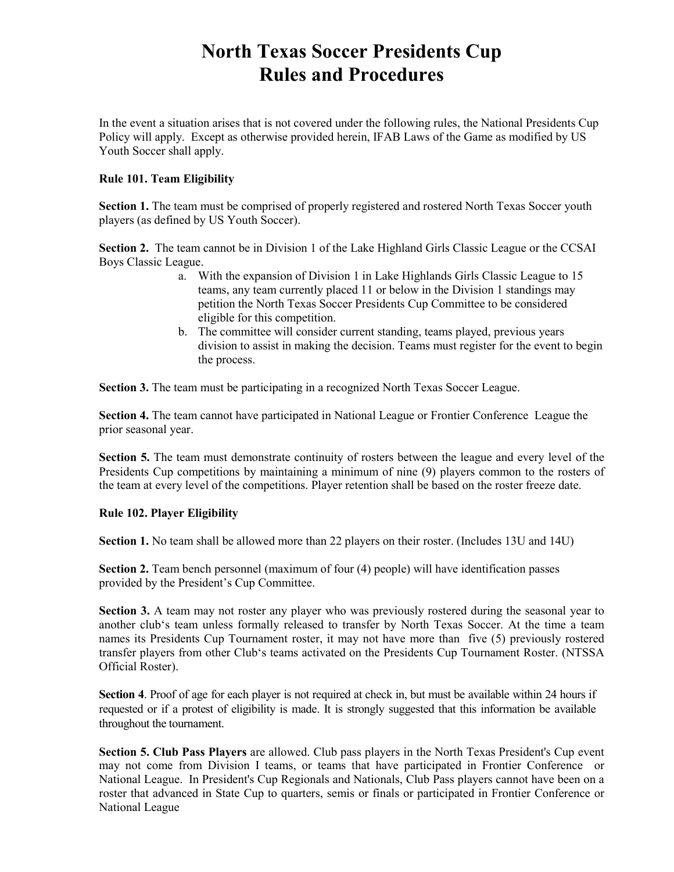# **North Texas Soccer Presidents Cup Rules and Procedures**

In the event a situation arises that is not covered under the following rules, the National Presidents Cup Policy will apply. Except as otherwise provided herein, IFAB Laws of the Game as modified by US Youth Soccer shall apply.

# **Rule 101. Team Eligibility**

**Section 1.** The team must be comprised of properly registered and rostered North Texas Soccer youth players (as defined by US Youth Soccer).

**Section 2.** The team cannot be in Division 1 of the Lake Highland Girls Classic League or the CCSAI Boys Classic League.

- a. With the expansion of Division 1 in Lake Highlands Girls Classic League to 15 teams, any team currently placed 11 or below in the Division 1 standings may petition the North Texas Soccer Presidents Cup Committee to be considered eligible for this competition.
- b. The committee will consider current standing, teams played, previous years division to assist in making the decision. Teams must register for the event to begin the process.

**Section 3.** The team must be participating in a recognized North Texas Soccer League.

**Section 4.** The team cannot have participated in National League or Frontier Conference League the prior seasonal year.

**Section 5.** The team must demonstrate continuity of rosters between the league and every level of the Presidents Cup competitions by maintaining a minimum of nine (9) players common to the rosters of the team at every level of the competitions. Player retention shall be based on the roster freeze date.

#### **Rule 102. Player Eligibility**

**Section 1.** No team shall be allowed more than 22 players on their roster. (Includes 13U and 14U)

**Section 2.** Team bench personnel (maximum of four (4) people) will have identification passes provided by the President's Cup Committee.

**Section 3.** A team may not roster any player who was previously rostered during the seasonal year to another club's team unless formally released to transfer by North Texas Soccer. At the time a team names its Presidents Cup Tournament roster, it may not have more than five (5) previously rostered transfer players from other Club's teams activated on the Presidents Cup Tournament Roster. (NTSSA Official Roster).

**Section 4**. Proof of age for each player is not required at check in, but must be available within 24 hours if requested or if a protest of eligibility is made. It is strongly suggested that this information be available throughout the tournament.

**Section 5. Club Pass Players** are allowed. Club pass players in the North Texas President's Cup event may not come from Division I teams, or teams that have participated in Frontier Conference or National League. In President's Cup Regionals and Nationals, Club Pass players cannot have been on a roster that advanced in State Cup to quarters, semis or finals or participated in Frontier Conference or National League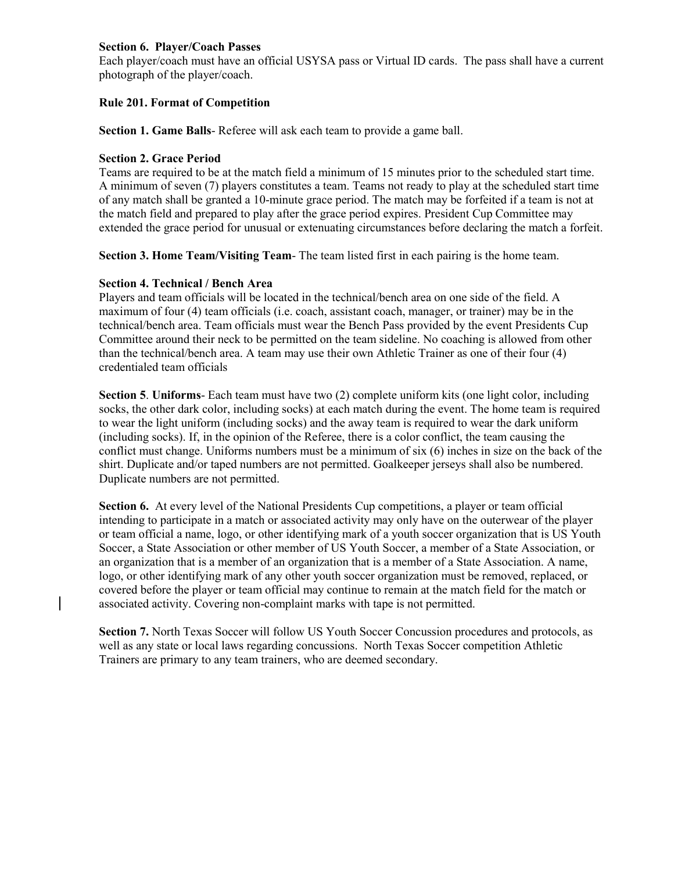#### **Section 6. Player/Coach Passes**

Each player/coach must have an official USYSA pass or Virtual ID cards. The pass shall have a current photograph of the player/coach.

## **Rule 201. Format of Competition**

**Section 1. Game Balls**- Referee will ask each team to provide a game ball.

#### **Section 2. Grace Period**

Teams are required to be at the match field a minimum of 15 minutes prior to the scheduled start time. A minimum of seven (7) players constitutes a team. Teams not ready to play at the scheduled start time of any match shall be granted a 10-minute grace period. The match may be forfeited if a team is not at the match field and prepared to play after the grace period expires. President Cup Committee may extended the grace period for unusual or extenuating circumstances before declaring the match a forfeit.

**Section 3. Home Team/Visiting Team**- The team listed first in each pairing is the home team.

#### **Section 4. Technical / Bench Area**

Players and team officials will be located in the technical/bench area on one side of the field. A maximum of four (4) team officials (i.e. coach, assistant coach, manager, or trainer) may be in the technical/bench area. Team officials must wear the Bench Pass provided by the event Presidents Cup Committee around their neck to be permitted on the team sideline. No coaching is allowed from other than the technical/bench area. A team may use their own Athletic Trainer as one of their four (4) credentialed team officials

**Section 5**. **Uniforms**- Each team must have two (2) complete uniform kits (one light color, including socks, the other dark color, including socks) at each match during the event. The home team is required to wear the light uniform (including socks) and the away team is required to wear the dark uniform (including socks). If, in the opinion of the Referee, there is a color conflict, the team causing the conflict must change. Uniforms numbers must be a minimum of six (6) inches in size on the back of the shirt. Duplicate and/or taped numbers are not permitted. Goalkeeper jerseys shall also be numbered. Duplicate numbers are not permitted.

**Section 6.** At every level of the National Presidents Cup competitions, a player or team official intending to participate in a match or associated activity may only have on the outerwear of the player or team official a name, logo, or other identifying mark of a youth soccer organization that is US Youth Soccer, a State Association or other member of US Youth Soccer, a member of a State Association, or an organization that is a member of an organization that is a member of a State Association. A name, logo, or other identifying mark of any other youth soccer organization must be removed, replaced, or covered before the player or team official may continue to remain at the match field for the match or associated activity. Covering non-complaint marks with tape is not permitted.

**Section 7.** North Texas Soccer will follow US Youth Soccer Concussion procedures and protocols, as well as any state or local laws regarding concussions. North Texas Soccer competition Athletic Trainers are primary to any team trainers, who are deemed secondary.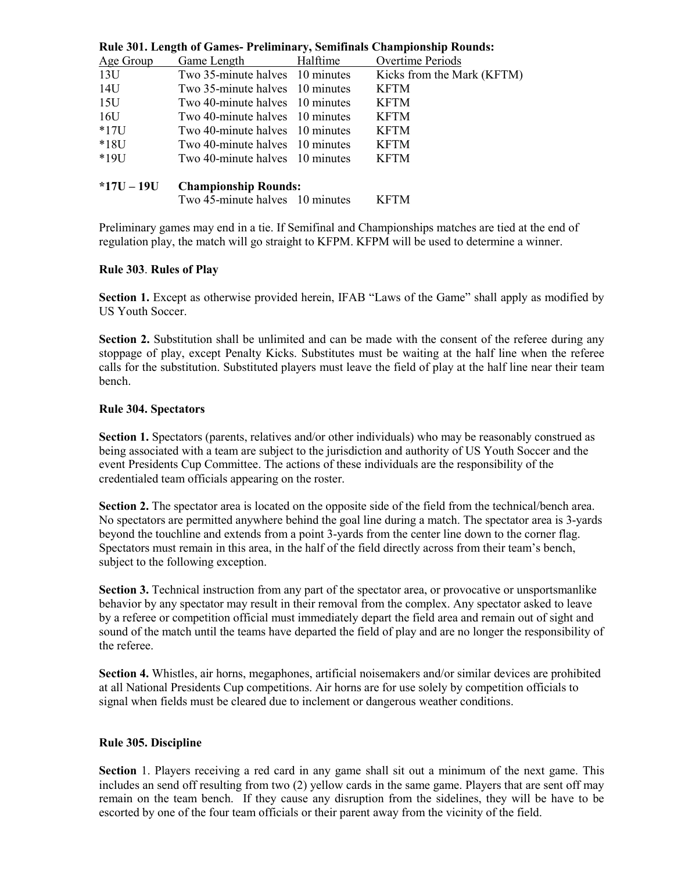| Rule 301. Length of Games- Preliminary, Semitinals Championship Rounds: |                                 |          |                            |
|-------------------------------------------------------------------------|---------------------------------|----------|----------------------------|
| Age Group                                                               | Game Length                     | Halftime | Overtime Periods           |
| 13U                                                                     | Two 35-minute halves 10 minutes |          | Kicks from the Mark (KFTM) |
| 14U                                                                     | Two 35-minute halves 10 minutes |          | <b>KFTM</b>                |
| 15U                                                                     | Two 40-minute halves 10 minutes |          | <b>KFTM</b>                |
| 16U                                                                     | Two 40-minute halves 10 minutes |          | <b>KFTM</b>                |
| $*17U$                                                                  | Two 40-minute halves 10 minutes |          | <b>KFTM</b>                |
| $*18U$                                                                  | Two 40-minute halves 10 minutes |          | <b>KFTM</b>                |
| $*19U$                                                                  | Two 40-minute halves 10 minutes |          | <b>KFTM</b>                |
| $*17U - 19U$                                                            | <b>Championship Rounds:</b>     |          |                            |
|                                                                         | Two 45-minute halves 10 minutes |          | <b>KFTM</b>                |

**Rule 301. Length of Games- Preliminary, Semifinals Championship Rounds:** 

Preliminary games may end in a tie. If Semifinal and Championships matches are tied at the end of regulation play, the match will go straight to KFPM. KFPM will be used to determine a winner.

#### **Rule 303**. **Rules of Play**

**Section 1.** Except as otherwise provided herein, IFAB "Laws of the Game" shall apply as modified by US Youth Soccer.

**Section 2.** Substitution shall be unlimited and can be made with the consent of the referee during any stoppage of play, except Penalty Kicks. Substitutes must be waiting at the half line when the referee calls for the substitution. Substituted players must leave the field of play at the half line near their team bench.

# **Rule 304. Spectators**

**Section 1.** Spectators (parents, relatives and/or other individuals) who may be reasonably construed as being associated with a team are subject to the jurisdiction and authority of US Youth Soccer and the event Presidents Cup Committee. The actions of these individuals are the responsibility of the credentialed team officials appearing on the roster.

**Section 2.** The spectator area is located on the opposite side of the field from the technical/bench area. No spectators are permitted anywhere behind the goal line during a match. The spectator area is 3-yards beyond the touchline and extends from a point 3-yards from the center line down to the corner flag. Spectators must remain in this area, in the half of the field directly across from their team's bench, subject to the following exception.

**Section 3.** Technical instruction from any part of the spectator area, or provocative or unsportsmanlike behavior by any spectator may result in their removal from the complex. Any spectator asked to leave by a referee or competition official must immediately depart the field area and remain out of sight and sound of the match until the teams have departed the field of play and are no longer the responsibility of the referee.

**Section 4.** Whistles, air horns, megaphones, artificial noisemakers and/or similar devices are prohibited at all National Presidents Cup competitions. Air horns are for use solely by competition officials to signal when fields must be cleared due to inclement or dangerous weather conditions.

#### **Rule 305. Discipline**

**Section** 1. Players receiving a red card in any game shall sit out a minimum of the next game. This includes an send off resulting from two (2) yellow cards in the same game. Players that are sent off may remain on the team bench. If they cause any disruption from the sidelines, they will be have to be escorted by one of the four team officials or their parent away from the vicinity of the field.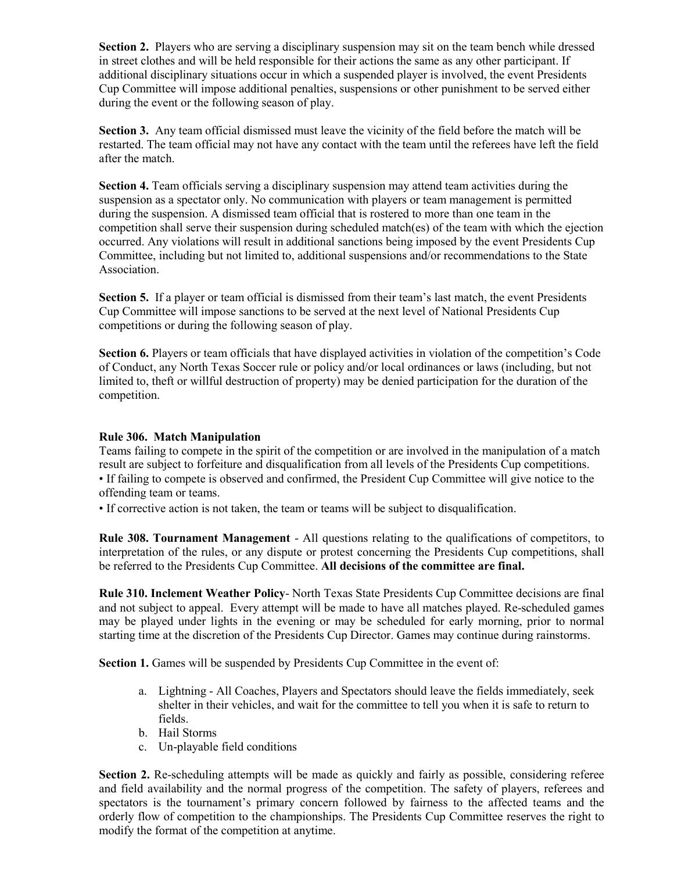**Section 2.** Players who are serving a disciplinary suspension may sit on the team bench while dressed in street clothes and will be held responsible for their actions the same as any other participant. If additional disciplinary situations occur in which a suspended player is involved, the event Presidents Cup Committee will impose additional penalties, suspensions or other punishment to be served either during the event or the following season of play.

**Section 3.** Any team official dismissed must leave the vicinity of the field before the match will be restarted. The team official may not have any contact with the team until the referees have left the field after the match.

**Section 4.** Team officials serving a disciplinary suspension may attend team activities during the suspension as a spectator only. No communication with players or team management is permitted during the suspension. A dismissed team official that is rostered to more than one team in the competition shall serve their suspension during scheduled match(es) of the team with which the ejection occurred. Any violations will result in additional sanctions being imposed by the event Presidents Cup Committee, including but not limited to, additional suspensions and/or recommendations to the State Association.

**Section 5.** If a player or team official is dismissed from their team's last match, the event Presidents Cup Committee will impose sanctions to be served at the next level of National Presidents Cup competitions or during the following season of play.

**Section 6.** Players or team officials that have displayed activities in violation of the competition's Code of Conduct, any North Texas Soccer rule or policy and/or local ordinances or laws (including, but not limited to, theft or willful destruction of property) may be denied participation for the duration of the competition.

#### **Rule 306. Match Manipulation**

Teams failing to compete in the spirit of the competition or are involved in the manipulation of a match result are subject to forfeiture and disqualification from all levels of the Presidents Cup competitions. • If failing to compete is observed and confirmed, the President Cup Committee will give notice to the offending team or teams.

• If corrective action is not taken, the team or teams will be subject to disqualification.

**Rule 308. Tournament Management** - All questions relating to the qualifications of competitors, to interpretation of the rules, or any dispute or protest concerning the Presidents Cup competitions, shall be referred to the Presidents Cup Committee. **All decisions of the committee are final.**

**Rule 310. Inclement Weather Policy**- North Texas State Presidents Cup Committee decisions are final and not subject to appeal. Every attempt will be made to have all matches played. Re-scheduled games may be played under lights in the evening or may be scheduled for early morning, prior to normal starting time at the discretion of the Presidents Cup Director. Games may continue during rainstorms.

**Section 1.** Games will be suspended by Presidents Cup Committee in the event of:

- a. Lightning All Coaches, Players and Spectators should leave the fields immediately, seek shelter in their vehicles, and wait for the committee to tell you when it is safe to return to fields.
- b. Hail Storms
- c. Un-playable field conditions

**Section 2.** Re-scheduling attempts will be made as quickly and fairly as possible, considering referee and field availability and the normal progress of the competition. The safety of players, referees and spectators is the tournament's primary concern followed by fairness to the affected teams and the orderly flow of competition to the championships. The Presidents Cup Committee reserves the right to modify the format of the competition at anytime.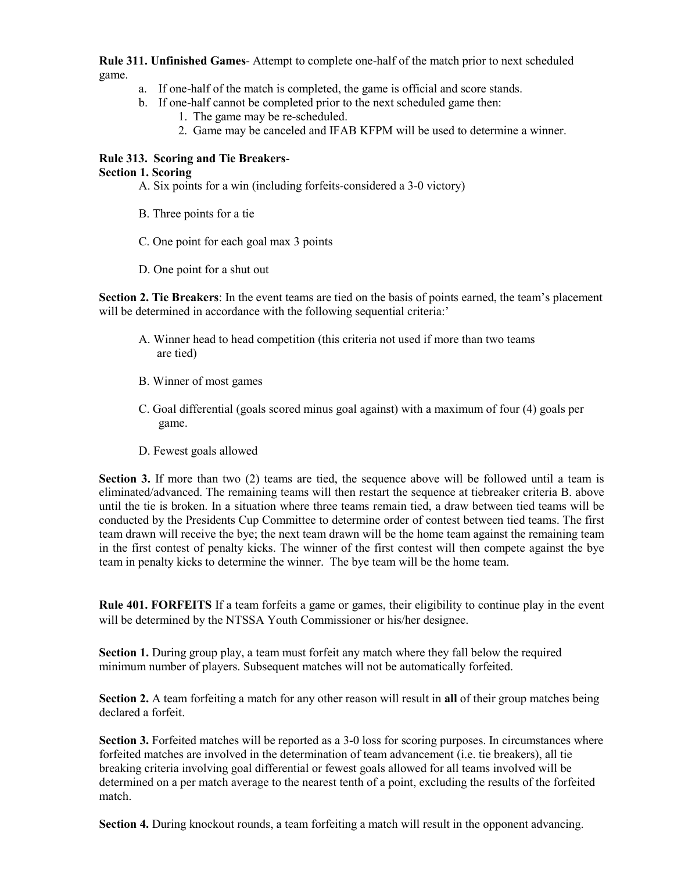**Rule 311. Unfinished Games**- Attempt to complete one-half of the match prior to next scheduled game.

- a. If one-half of the match is completed, the game is official and score stands.
- b. If one-half cannot be completed prior to the next scheduled game then:
	- 1. The game may be re-scheduled.
	- 2. Game may be canceled and IFAB KFPM will be used to determine a winner.

# **Rule 313. Scoring and Tie Breakers**-

## **Section 1. Scoring**

- A. Six points for a win (including forfeits-considered a 3-0 victory)
- B. Three points for a tie
- C. One point for each goal max 3 points
- D. One point for a shut out

**Section 2. Tie Breakers**: In the event teams are tied on the basis of points earned, the team's placement will be determined in accordance with the following sequential criteria:'

- A. Winner head to head competition (this criteria not used if more than two teams are tied)
- B. Winner of most games
- C. Goal differential (goals scored minus goal against) with a maximum of four (4) goals per game.
- D. Fewest goals allowed

**Section 3.** If more than two (2) teams are tied, the sequence above will be followed until a team is eliminated/advanced. The remaining teams will then restart the sequence at tiebreaker criteria B. above until the tie is broken. In a situation where three teams remain tied, a draw between tied teams will be conducted by the Presidents Cup Committee to determine order of contest between tied teams. The first team drawn will receive the bye; the next team drawn will be the home team against the remaining team in the first contest of penalty kicks. The winner of the first contest will then compete against the bye team in penalty kicks to determine the winner. The bye team will be the home team.

**Rule 401. FORFEITS** If a team forfeits a game or games, their eligibility to continue play in the event will be determined by the NTSSA Youth Commissioner or his/her designee.

**Section 1.** During group play, a team must forfeit any match where they fall below the required minimum number of players. Subsequent matches will not be automatically forfeited.

**Section 2.** A team forfeiting a match for any other reason will result in **all** of their group matches being declared a forfeit.

**Section 3.** Forfeited matches will be reported as a 3-0 loss for scoring purposes. In circumstances where forfeited matches are involved in the determination of team advancement (i.e. tie breakers), all tie breaking criteria involving goal differential or fewest goals allowed for all teams involved will be determined on a per match average to the nearest tenth of a point, excluding the results of the forfeited match.

**Section 4.** During knockout rounds, a team forfeiting a match will result in the opponent advancing.